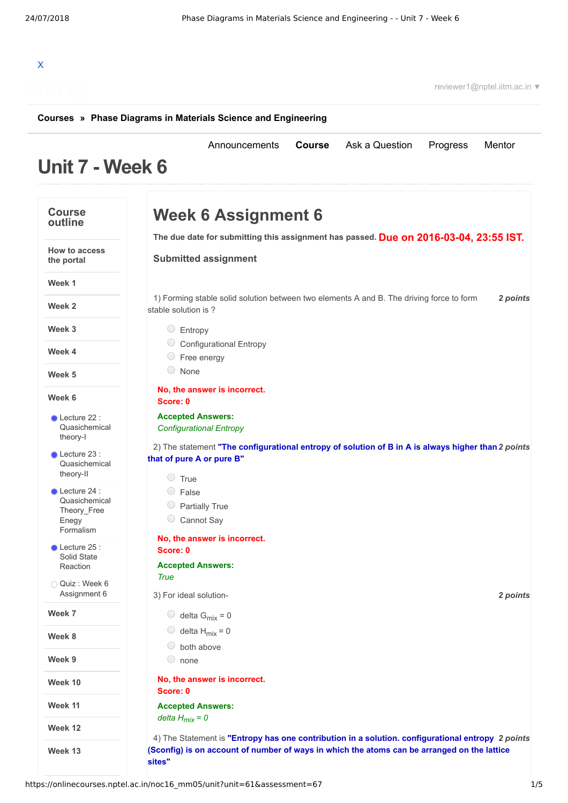# X

reviewer1@nptel.iitm.ac.in ▼

### **[Courses](https://onlinecourses.nptel.ac.in/) » [Phase Diagrams in Materials Science and Engineering](https://onlinecourses.nptel.ac.in/noc16_mm05/course)**

#### **Unit 7 - Week 6** [Announcements](https://onlinecourses.nptel.ac.in/noc16_mm05/announcements) **[Course](https://onlinecourses.nptel.ac.in/noc16_mm05/course)** [Ask a Question](https://onlinecourses.nptel.ac.in/noc16_mm05/forum) [Progress](https://onlinecourses.nptel.ac.in/noc16_mm05/student/home) [Mentor](https://onlinecourses.nptel.ac.in/noc16_mm05/student/mentor) **Course outline How to access the portal Week 1 Week 2 Week 3 Week 4 Week 5 Week 6 Week 7 Week 8 Week 9 Week 10 Week 11 Week 12 Week 13** Lecture 22 : [Quasichemical](https://onlinecourses.nptel.ac.in/noc16_mm05/unit?unit=61&lesson=63) theory-I Lecture 23 : [Quasichemical](https://onlinecourses.nptel.ac.in/noc16_mm05/unit?unit=61&lesson=62) theory-II Lecture 24 : [Quasichemical](https://onlinecourses.nptel.ac.in/noc16_mm05/unit?unit=61&lesson=64) Theory\_Free Enegy Formalism Lecture 25 : Solid State [Reaction](https://onlinecourses.nptel.ac.in/noc16_mm05/unit?unit=61&lesson=65) Quiz : Week 6 [Assignment](https://onlinecourses.nptel.ac.in/noc16_mm05/assessment?name=67) 6 **Due on 2016-03-04, 23:55 IST. The due date for submitting this assignment has passed.** 1) *2 points* Forming stable solid solution between two elements A and B. The driving force to form 2) *2 points* The statement **"The configurational entropy of solution of B in A is always higher than** 3) *2 points* For ideal solution-4) *2 points* The Statement is **"Entropy has one contribution in a solution. configurational entropy Week 6 Assignment 6 Submitted assignment** stable solution is ? Entropy Configurational Entropy Free energy None **No, the answer is incorrect. Score: 0 Accepted Answers:** *Configurational Entropy* **that of pure A or pure B"**  $\circ$  True False Partially True Cannot Say **No, the answer is incorrect. Score: 0 Accepted Answers:** *True* delta G<sub>mix</sub> = 0  $\bigcirc$  delta H<sub>mix</sub> = 0  $\circledcirc$  both above none **No, the answer is incorrect. Score: 0 Accepted Answers:** *delta Hmix = 0* **(Sconfig) is on account of number of ways in which the atoms can be arranged on the lattice sites"**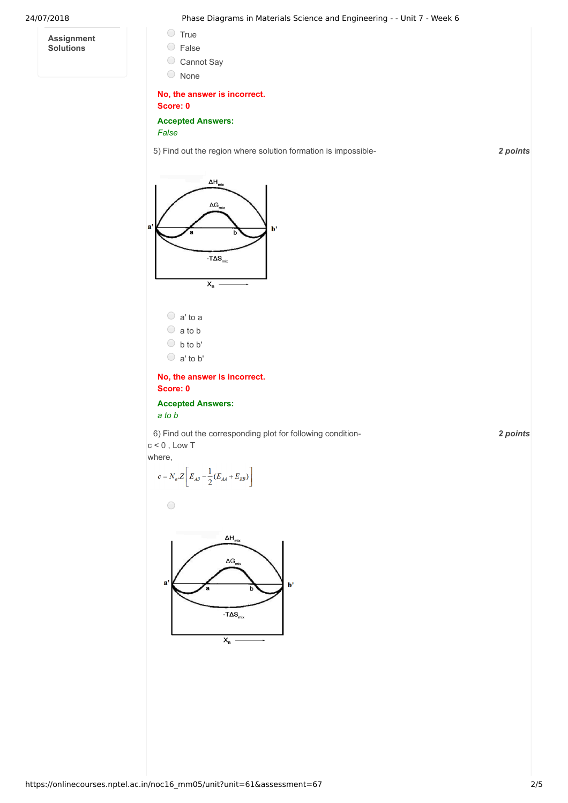**Assignment Solutions**

24/07/2018 Phase Diagrams in Materials Science and Engineering - - Unit 7 - Week 6

- True
- False
- 
- Cannot Say
- None

## **No, the answer is incorrect. Score: 0**

**Accepted Answers:**

*False*

5) *2 points* Find out the region where solution formation is impossible-



- $\bigcirc$  b to b'
- a' to b'

**No, the answer is incorrect. Score: 0**

**Accepted Answers:** *a to b*

6) *2 points* Find out the corresponding plot for following condition $c < 0$ , Low T

where,

 $\bigcirc$ 

$$
c = N_a \cdot Z \left[ E_{AB} - \frac{1}{2} (E_{AA} + E_{BB}) \right]
$$

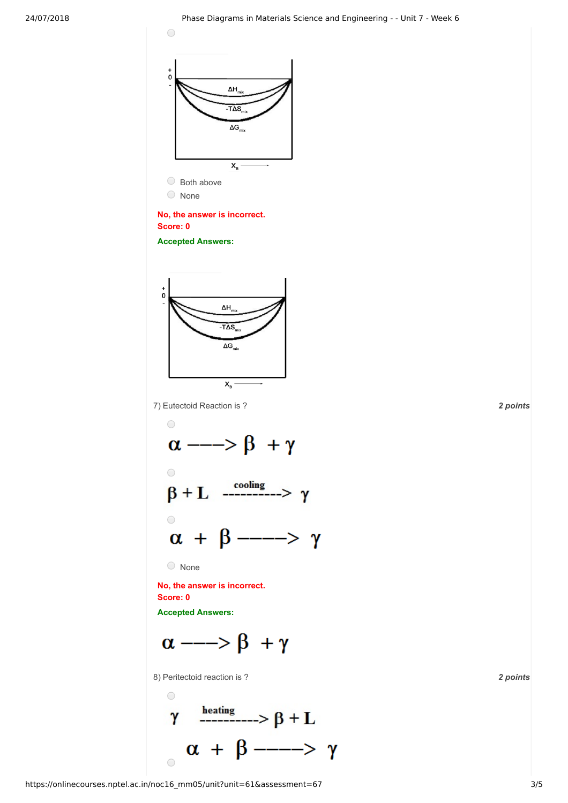

Both above None

# **No, the answer is incorrect. Score: 0**

**Accepted Answers:**



7) *2 points* Eutectoid Reaction is ?



None

**No, the answer is incorrect. Score: 0**

**Accepted Answers:**

$$
\alpha \longrightarrow \beta + \gamma
$$

8) *2 points* Peritectoid reaction is ?

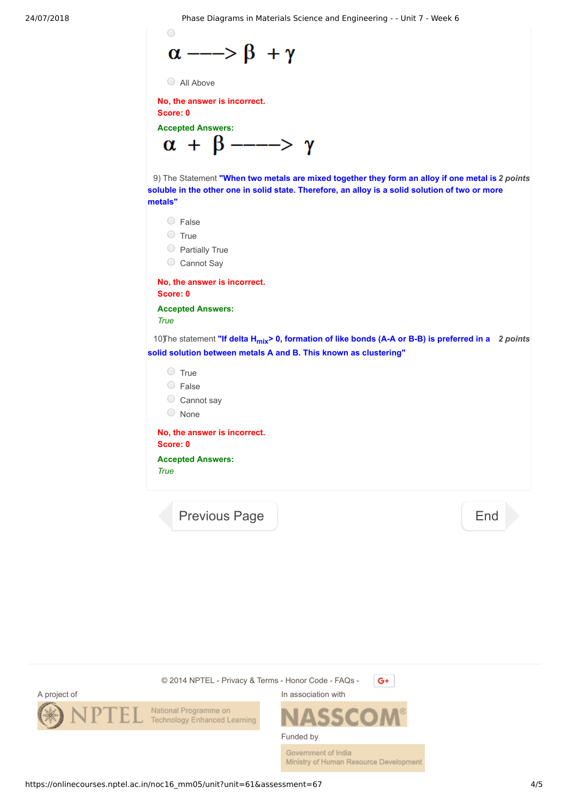24/07/2018 Phase Diagrams in Materials Science and Engineering - - Unit 7 - Week 6

$$
\alpha \longrightarrow \beta + \gamma
$$

```
All Above
```
 $\bigcirc$ 

**No, the answer is incorrect. Score: 0**

**Accepted Answers:**

$$
\alpha + \beta \longrightarrow \gamma
$$

9) *2 points* The Statement **"When two metals are mixed together they form an alloy if one metal is** soluble in the other one in solid state. Therefore, an alloy is a solid solution of two or more **metals"**

- False
- O True
- $\bigcirc$  Partially True
- Cannot Say

**No, the answer is incorrect. Score: 0**

**Accepted Answers:** *True*

10) The statement "If delta  $H_{mix}$ > 0, formation of like bonds (A-A or B-B) is preferred in a 2 points **solid solution between metals A and B. This known as clustering"**

- $\bigcirc$  True
- False
- Cannot say
- None

**No, the answer is incorrect. Score: 0**

**Accepted Answers:** *True*

[Previous Page](https://onlinecourses.nptel.ac.in/noc16_mm05/unit?unit=61&lesson=65) **[End](https://onlinecourses.nptel.ac.in/noc16_mm05/course)** 



Government of India Ministry of Human Resource Development